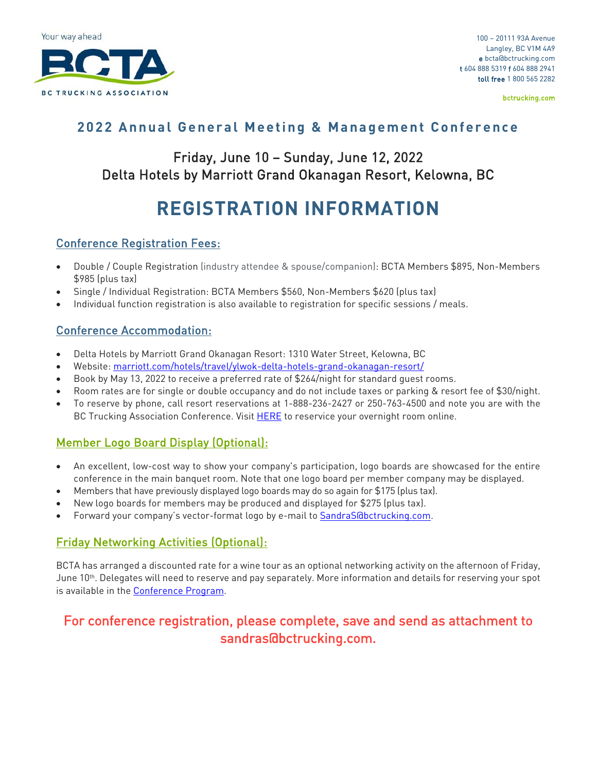

100 – 20111 93A Avenue Langley, BC V1M 4A9 e bcta@bctrucking.com t 604 888 5319 f 604 888 2941 toll free 1 800 565 2282

bctrucking.com

## **2 02 2 Annual General Meeting & Management Conference**

## Friday, June 10 – Sunday, June 12, 2022 Delta Hotels by Marriott Grand Okanagan Resort, Kelowna, BC

# **REGISTRATION INFORMATION**

#### Conference Registration Fees:

- Double / Couple Registration (industry attendee & spouse/companion): BCTA Members \$895, Non-Members \$985 (plus tax)
- Single / Individual Registration: BCTA Members \$560, Non-Members \$620 (plus tax)
- Individual function registration is also available to registration for specific sessions / meals.

#### Conference Accommodation:

- Delta Hotels by Marriott Grand Okanagan Resort: 1310 Water Street, Kelowna, BC
- Website: [marriott.com/hotels/travel/ylwok-delta-hotels-grand-okanagan-resort/](https://www.marriott.com/hotels/travel/ylwok-delta-hotels-grand-okanagan-resort/)
- Book by May 13, 2022 to receive a preferred rate of \$264/night for standard guest rooms.
- Room rates are for single or double occupancy and do not include taxes or parking & resort fee of \$30/night.
- To reserve by phone, call resort reservations at 1-888-236-2427 or 250-763-4500 and note you are with the BC Trucking Association Conference. Visit [HERE](https://book.passkey.com/event/50304581/owner/49923824/home) to reservice your overnight room online.

#### Member Logo Board Display (Optional):

- An excellent, low-cost way to show your company's participation, logo boards are showcased for the entire conference in the main banquet room. Note that one logo board per member company may be displayed.
- Members that have previously displayed logo boards may do so again for \$175 (plus tax).
- New logo boards for members may be produced and displayed for \$275 (plus tax).
- Forward your company's vector-format logo by e-mail to [SandraS@bctrucking.com.](mailto:SandraS@bctrucking.com)

#### Friday Networking Activities (Optional):

BCTA has arranged a discounted rate for a wine tour as an optional networking activity on the afternoon of Friday, June 10<sup>th</sup>. Delegates will need to reserve and pay separately. More information and details for reserving your spot is available in the [Conference Program.](https://www.bctrucking.com/sites/default/files/pdfs/bcta_2022_conference_program.pdf)

### For conference registration, please complete, save and send as attachment to sandras@bctrucking.com.